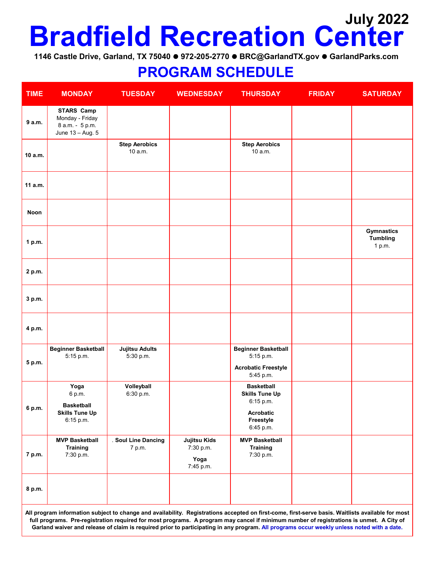## **Bradfield Recreation Center July 2022**

**1146 Castle Drive, Garland, TX 75040 972-205-2770 BRC@GarlandTX.gov GarlandParks.com**

## **PROGRAM SCHEDULE**

| <b>TIME</b>                                                                                                                                       | <b>MONDAY</b>                                                               | <b>TUESDAY</b>                     | <b>WEDNESDAY</b>                                      | <b>THURSDAY</b>                                                                    | <b>FRIDAY</b> | <b>SATURDAY</b>                                |  |  |
|---------------------------------------------------------------------------------------------------------------------------------------------------|-----------------------------------------------------------------------------|------------------------------------|-------------------------------------------------------|------------------------------------------------------------------------------------|---------------|------------------------------------------------|--|--|
| 9 a.m.                                                                                                                                            | <b>STARS Camp</b><br>Monday - Friday<br>8 a.m. - 5 p.m.<br>June 13 - Aug. 5 |                                    |                                                       |                                                                                    |               |                                                |  |  |
| 10 a.m.                                                                                                                                           |                                                                             | <b>Step Aerobics</b><br>10 a.m.    |                                                       | <b>Step Aerobics</b><br>10 a.m.                                                    |               |                                                |  |  |
| 11 a.m.                                                                                                                                           |                                                                             |                                    |                                                       |                                                                                    |               |                                                |  |  |
| Noon                                                                                                                                              |                                                                             |                                    |                                                       |                                                                                    |               |                                                |  |  |
| 1 p.m.                                                                                                                                            |                                                                             |                                    |                                                       |                                                                                    |               | <b>Gymnastics</b><br><b>Tumbling</b><br>1 p.m. |  |  |
| 2 p.m.                                                                                                                                            |                                                                             |                                    |                                                       |                                                                                    |               |                                                |  |  |
| 3 p.m.                                                                                                                                            |                                                                             |                                    |                                                       |                                                                                    |               |                                                |  |  |
| 4 p.m.                                                                                                                                            |                                                                             |                                    |                                                       |                                                                                    |               |                                                |  |  |
| 5 p.m.                                                                                                                                            | <b>Beginner Basketball</b><br>5:15 p.m.                                     | <b>Jujitsu Adults</b><br>5:30 p.m. |                                                       | <b>Beginner Basketball</b><br>5:15 p.m.<br><b>Acrobatic Freestyle</b><br>5:45 p.m. |               |                                                |  |  |
|                                                                                                                                                   | Yoga<br>6 p.m.                                                              | Volleyball<br>6:30 p.m.            |                                                       | <b>Basketball</b><br><b>Skills Tune Up</b><br>6:15 p.m.                            |               |                                                |  |  |
| 6 p.m.                                                                                                                                            | <b>Basketball</b><br><b>Skills Tune Up</b><br>6:15 p.m.                     |                                    |                                                       | <b>Acrobatic</b><br>Freestyle<br>6:45 p.m.                                         |               |                                                |  |  |
| 7 p.m.                                                                                                                                            | <b>MVP Basketball</b><br><b>Training</b><br>7:30 p.m.                       | . Soul Line Dancing<br>7 p.m.      | <b>Jujitsu Kids</b><br>7:30 p.m.<br>Yoga<br>7:45 p.m. | <b>MVP Basketball</b><br><b>Training</b><br>7:30 p.m.                              |               |                                                |  |  |
| 8 p.m.                                                                                                                                            |                                                                             |                                    |                                                       |                                                                                    |               |                                                |  |  |
| All program information subject to change and availability. Registrations accepted on first-come, first-serve basis. Waitlists available for most |                                                                             |                                    |                                                       |                                                                                    |               |                                                |  |  |

**All program information subject to change and availability. Registrations accepted on first-come, first-serve basis. Waitlists available for most full programs. Pre-registration required for most programs. A program may cancel if minimum number of registrations is unmet. A City of Garland waiver and release of claim is required prior to participating in any program. All programs occur weekly unless noted with a date.**